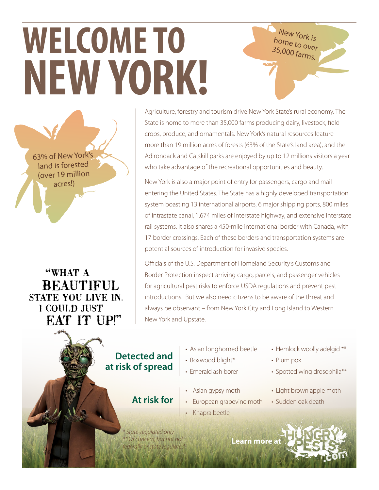# **WELCOME TO NEW YORK!**

63% of New York's land is forested (over 19 million acres!)

"WHAT A **BEAUTIFUL STATE YOU LIVE IN.** I COULD JUST **EAT IT UP!"** 

Agriculture, forestry and tourism drive New York State's rural economy. The State is home to more than 35,000 farms producing dairy, livestock, field crops, produce, and ornamentals. New York's natural resources feature more than 19 million acres of forests (63% of the State's land area), and the Adirondack and Catskill parks are enjoyed by up to 12 millions visitors a year who take advantage of the recreational opportunities and beauty.

New York is home to over 35,000 farms.

New York is also a major point of entry for passengers, cargo and mail entering the United States. The State has a highly developed transportation system boasting 13 international airports, 6 major shipping ports, 800 miles of intrastate canal, 1,674 miles of interstate highway, and extensive interstate rail systems. It also shares a 450-mile international border with Canada, with 17 border crossings. Each of these borders and transportation systems are potential sources of introduction for invasive species.

Officials of the U.S. Department of Homeland Security's Customs and Border Protection inspect arriving cargo, parcels, and passenger vehicles for agricultural pest risks to enforce USDA regulations and prevent pest introductions. But we also need citizens to be aware of the threat and always be observant – from New York City and Long Island to Western New York and Upstate.

### **Detected and at risk of spread**

**At risk for**

*\* State-regulated only \*\* Of concern, but not not federally or state regulated*

- Asian longhorned beetle
- Boxwood blight\*
- Emerald ash borer
- Asian gypsy moth
- European grapevine moth
- Khapra beetle
- Hemlock woolly adelgid \*\*
- Plum pox
- Spotted wing drosophila\*\*
- Light brown apple moth
- Sudden oak death

**Learn mor[e at](http://www.hungrypests.com)**